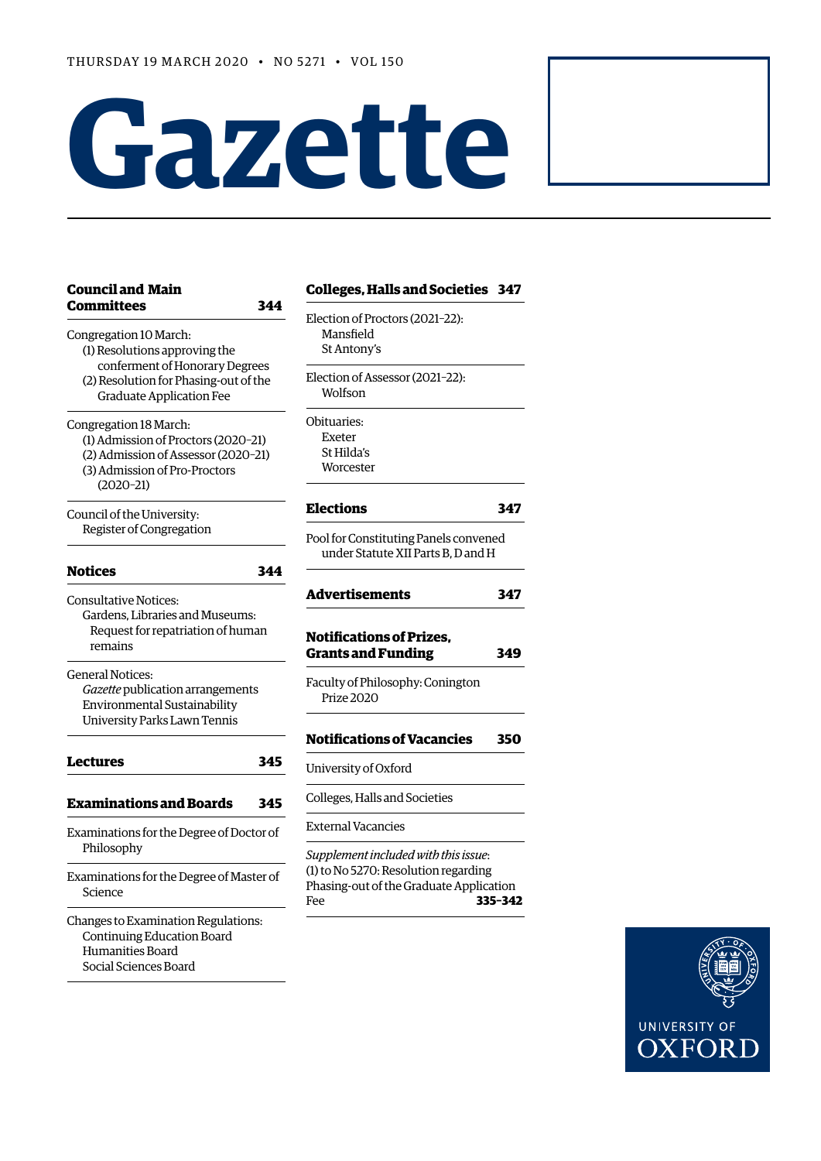# **Gazette**

| <b>Council and Main</b><br><b>Committees</b><br>344                                                                                                  | <b>Colleges, Halls and Societies 347</b>                                                          |     |
|------------------------------------------------------------------------------------------------------------------------------------------------------|---------------------------------------------------------------------------------------------------|-----|
| Congregation 10 March:<br>(1) Resolutions approving the                                                                                              | Election of Proctors (2021-22):<br>Mansfield<br>St Antony's                                       |     |
| conferment of Honorary Degrees<br>(2) Resolution for Phasing-out of the<br><b>Graduate Application Fee</b>                                           | Election of Assessor (2021-22):<br>Wolfson                                                        |     |
| Congregation 18 March:<br>(1) Admission of Proctors (2020-21)<br>(2) Admission of Assessor (2020-21)<br>(3) Admission of Pro-Proctors<br>$(2020-21)$ | Obituaries:<br><b>Exeter</b><br>St Hilda's<br>Worcester                                           |     |
| Council of the University:                                                                                                                           | <b>Elections</b>                                                                                  | 347 |
| Register of Congregation                                                                                                                             | Pool for Constituting Panels convened<br>under Statute XII Parts B, D and H                       |     |
| Notices<br>344                                                                                                                                       | Advertisements                                                                                    | 347 |
| <b>Consultative Notices:</b><br>Gardens, Libraries and Museums:<br>Request for repatriation of human<br>remains                                      | <b>Notifications of Prizes,</b><br><b>Grants and Funding</b>                                      | 349 |
| <b>General Notices:</b><br>Gazette publication arrangements<br>Environmental Sustainability<br>University Parks Lawn Tennis                          | Faculty of Philosophy: Conington<br>Prize 2020                                                    |     |
|                                                                                                                                                      | <b>Notifications of Vacancies</b>                                                                 | 350 |
| Lectures<br>345                                                                                                                                      | University of Oxford                                                                              |     |
| <b>Examinations and Boards</b><br>345                                                                                                                | Colleges, Halls and Societies                                                                     |     |
| Examinations for the Degree of Doctor of                                                                                                             | <b>External Vacancies</b>                                                                         |     |
| Philosophy                                                                                                                                           | Supplement included with this issue:                                                              |     |
| Examinations for the Degree of Master of<br>Science                                                                                                  | (1) to No 5270: Resolution regarding<br>Phasing-out of the Graduate Application<br>335-342<br>Fee |     |
| Changes to Examination Regulations:<br>Continuing Education Board<br>Humanities Board<br>Social Sciences Board                                       |                                                                                                   |     |

| <b>Colleges, Halls and Societies</b>                                                                                           | 347     |
|--------------------------------------------------------------------------------------------------------------------------------|---------|
| Election of Proctors (2021-22):<br>Mansfield<br>St Antony's                                                                    |         |
| Election of Assessor (2021-22):<br>Wolfson                                                                                     |         |
| Obituaries:<br>Exeter<br>St Hilda's<br>Worcester                                                                               |         |
| <b>Elections</b>                                                                                                               | 347     |
| Pool for Constituting Panels convened<br>under Statute XII Parts B, D and H                                                    |         |
| <b>Advertisements</b>                                                                                                          | 347     |
| <b>Notifications of Prizes.</b><br><b>Grants and Funding</b>                                                                   | 349     |
| Faculty of Philosophy: Conington<br>Prize 2020                                                                                 |         |
| <b>Notifications of Vacancies</b>                                                                                              | 350     |
| University of Oxford                                                                                                           |         |
| Colleges, Halls and Societies                                                                                                  |         |
| <b>External Vacancies</b>                                                                                                      |         |
| Supplement included with this issue:<br>(1) to No 5270: Resolution regarding<br>Phasing-out of the Graduate Application<br>Fee | 335-342 |

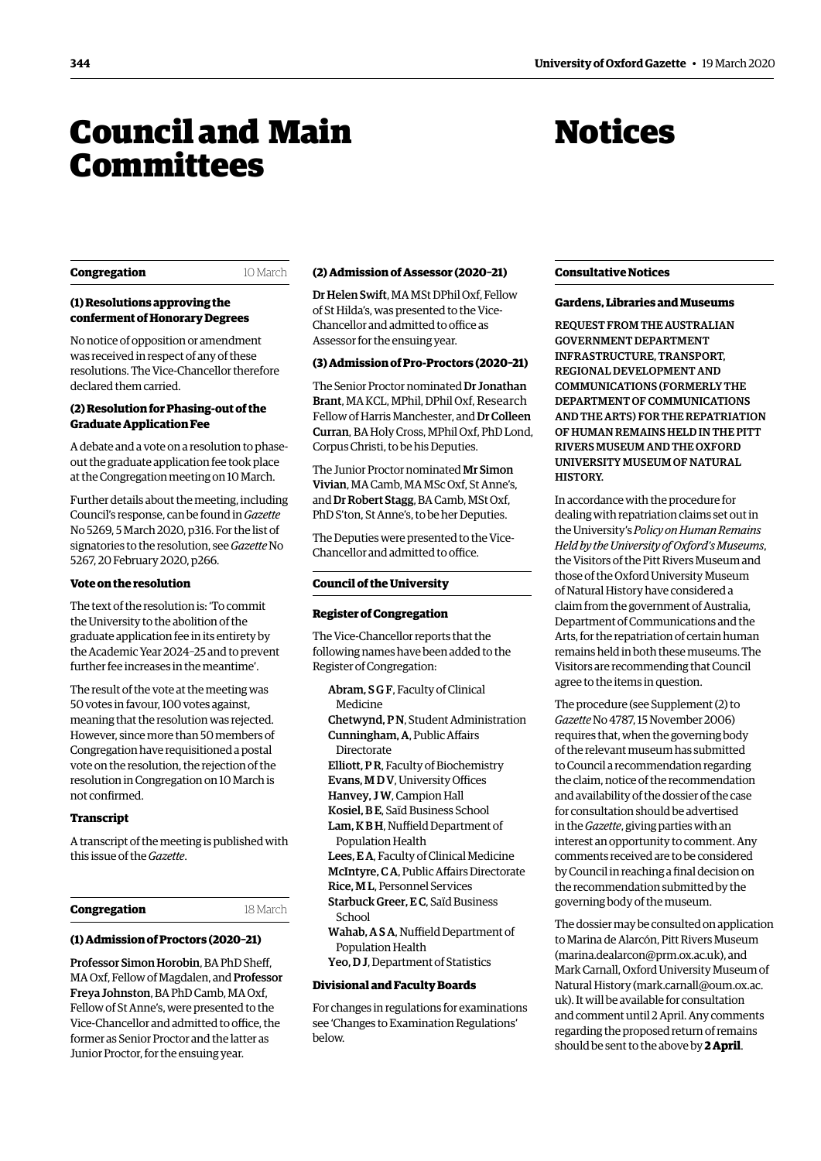# <span id="page-1-0"></span>Council and Main **Committees**

# Notices

#### **Congregation** 10 March

#### **(1) Resolutions approving the conferment of Honorary Degrees**

No notice of opposition or amendment was received in respect of any of these resolutions. The Vice-Chancellor therefore declared them carried.

#### **(2) Resolution for Phasing-out of the Graduate Application Fee**

A debate and a vote on a resolution to phaseout the graduate application fee took place at the Congregation meeting on 10 March.

Further details about the meeting, including Council's response, can be found in *Gazette* [No 5269, 5 March 2020, p316. F](https://gazette.web.ox.ac.uk/files/5march2020-no5269redactedpdf#page=2)or the list of signatories to the resolution, see *Gazette* No [5267, 20 February 2020, p266.](https://gazette.web.ox.ac.uk/files/20february2020no5267redactedpdf#page7)

## **Vote on the resolution**

The text of the resolution is: 'To commit the University to the abolition of the graduate application fee in its entirety by the Academic Year 2024–25 and to prevent further fee increases in the meantime'.

The result of the vote at the meeting was 50 votes in favour, 100 votes against, meaning that the resolution was rejected. However, since more than 50 members of Congregation have requisitioned a postal vote on the resolution, the rejection of the resolution in Congregation on 10 March is not confirmed.

#### **Transcript**

A transcript of the meeting is published with this issue of the *Gazette*.

#### **Congregation** 18 March

#### **(1) Admission of Proctors (2020–21)**

Professor Simon Horobin, BA PhD Sheff, MA Oxf, Fellow of Magdalen, and Professor Freya Johnston, BA PhD Camb, MA Oxf, Fellow of St Anne's, were presented to the Vice-Chancellor and admitted to office, the former as Senior Proctor and the latter as Junior Proctor, for the ensuing year.

#### **(2) Admission of Assessor (2020–21)**

Dr Helen Swift, MA MSt DPhil Oxf, Fellow of St Hilda's, was presented to the Vice-Chancellor and admitted to office as Assessor for the ensuing year.

## **(3) Admission of Pro-Proctors (2020–21)**

The Senior Proctor nominated Dr Jonathan Brant, MA KCL, MPhil, DPhil Oxf, Research Fellow of Harris Manchester, and Dr Colleen Curran, BA Holy Cross, MPhil Oxf, PhD Lond, Corpus Christi, to be his Deputies.

The Junior Proctor nominated Mr Simon Vivian, MA Camb, MA MSc Oxf, St Anne's, and Dr Robert Stagg, BA Camb, MSt Oxf, PhD S'ton, St Anne's, to be her Deputies.

The Deputies were presented to the Vice-Chancellor and admitted to office.

## **Council of the University**

#### **Register of Congregation**

The Vice-Chancellor reports that the following names have been added to the Register of Congregation:

Abram, S G F, Faculty of Clinical Medicine Chetwynd, P N, Student Administration Cunningham, A, Public Affairs **Directorate** Elliott, P R, Faculty of Biochemistry Evans, M D V, University Offices Hanvey, J W, Campion Hall Kosiel, B E, Saïd Business School Lam, K B H, Nuffield Department of Population Health Lees, E A, Faculty of Clinical Medicine McIntyre, C A, Public Affairs Directorate Rice, M L, Personnel Services Starbuck Greer, E C, Saïd Business School Wahab, A S A, Nuffield Department of Population Health Yeo, D J, Department of Statistics

#### **Divisional and Faculty Boards**

For changes in regulations for examinations see ['Changes to Examination Regulations'](#page-3-0) below.

#### **Consultative Notices**

#### **Gardens, Libraries and Museums**

REQUEST FROM THE AUSTRALIAN GOVERNMENT DEPARTMENT INFRASTRUCTURE, TRANSPORT, REGIONAL DEVELOPMENT AND COMMUNICATIONS (FORMERLY THE DEPARTMENT OF COMMUNICATIONS AND THE ARTS) FOR THE REPATRIATION OF HUMAN REMAINS HELD IN THE PITT RIVERS MUSEUM AND THE OXFORD UNIVERSITY MUSEUM OF NATURAL HISTORY.

In accordance with the procedure for dealing with repatriation claims set out in the University's *Policy on Human Remains Held by the University of Oxford's Museums*, the Visitors of the Pitt Rivers Museum and those of the Oxford University Museum of Natural History have considered a claim from the government of Australia, Department of Communications and the Arts, for the repatriation of certain human remains held in both these museums. The Visitors are recommending that Council agree to the items in question.

[The procedure \(see Supplement \(2\) to](https://www1.ox.ac.uk/gazette/2006-7/supps/2_4787.pdf)  *Gazette* No 4787, 15 November 2006) requires that, when the governing body of the relevant museum has submitted to Council a recommendation regarding the claim, notice of the recommendation and availability of the dossier of the case for consultation should be advertised in the *Gazette*, giving parties with an interest an opportunity to comment. Any comments received are to be considered by Council in reaching a final decision on the recommendation submitted by the governing body of the museum.

The dossier may be consulted on application to Marina de Alarcón, Pitt Rivers Museum [\(marina.dealarcon@prm.ox.ac.uk](mailto:(marina.dealarcon@prm.ox.ac.uk)), and Mark Carnall, Oxford University Museum of Natural History [\(mark.carnall@oum.ox.ac.](mailto:mark.carnall@oum.ox.ac.uk) uk). It will be available for consultation and comment until 2 April. Any comments regarding the proposed return of remains should be sent to the above by **2 April**.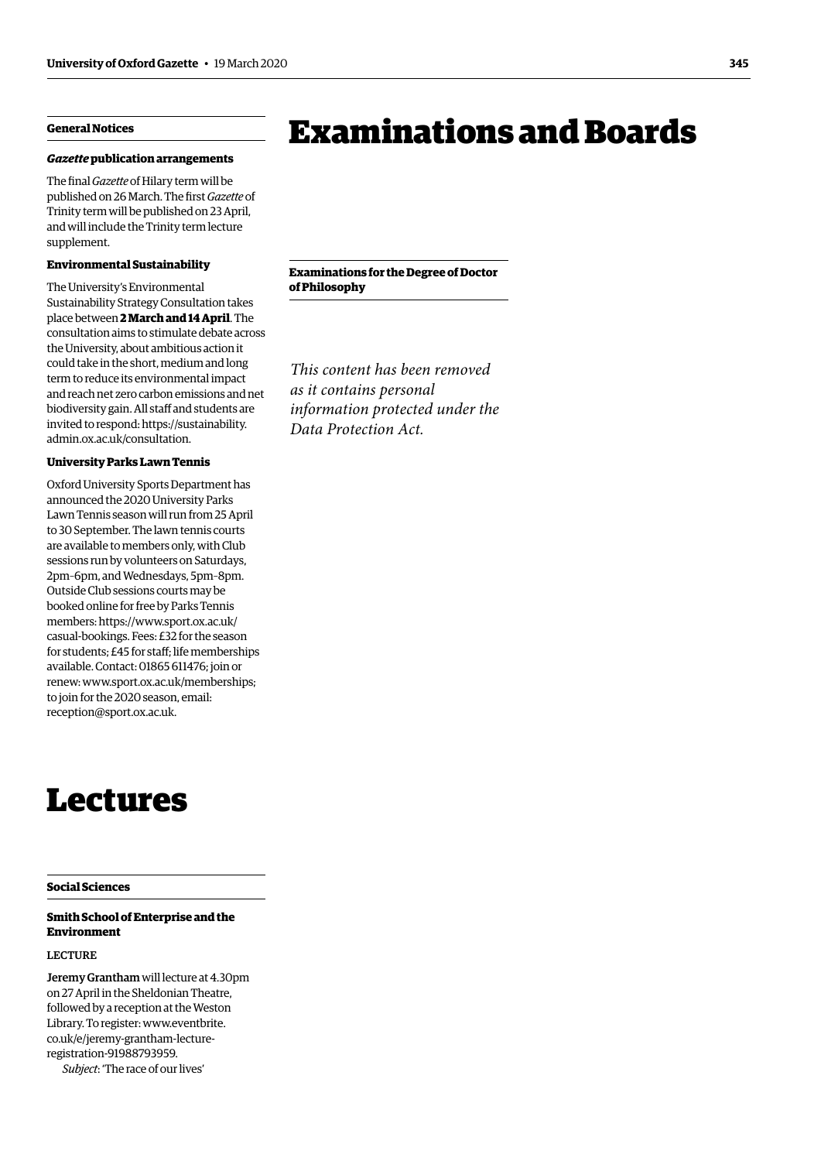# <span id="page-2-0"></span>**General Notices**

#### *Gazette* **publication arrangements**

The final *Gazette* of Hilary term will be published on 26 March. The first *Gazette* of Trinity term will be published on 23 April, and will include the Trinity term lecture supplement.

#### **Environmental Sustainability**

The University's Environmental Sustainability Strategy Consultation takes place between **2 March and 14 April**. The consultation aims to stimulate debate across the University, about ambitious action it could take in the short, medium and long term to reduce its environmental impact and reach net zero carbon emissions and net biodiversity gain. All staff and students are [invited to respond: https://sustainability.](https://sustainability.admin.ox.ac.uk/consultation) admin.ox.ac.uk/consultation.

#### **University Parks Lawn Tennis**

Oxford University Sports Department has announced the 2020 University Parks Lawn Tennis season will run from 25 April to 30 September. The lawn tennis courts are available to members only, with Club sessions run by volunteers on Saturdays, 2pm–6pm, and Wednesdays, 5pm–8pm. Outside Club sessions courts may be booked online for free by Parks Tennis [members: https://www.sport.ox.ac.uk/](https://www.sport.ox.ac.uk/casual-bookings) casual-bookings. Fees: £32 for the season for students; £45 for staff; life memberships available. Contact: 01865 611476; join or renew: [www.sport.ox.ac.uk/memberships;](http://www.sport.ox.ac.uk/memberships)  to join for the 2020 season, email: [reception@sport.ox.ac.uk](mailto:reception@sport.ox.ac.uk).

# Lectures

#### **Social Sciences**

## **Smith School of Enterprise and the Environment**

## LECTURE

Jeremy Grantham will lecture at 4.30pm on 27 April in the Sheldonian Theatre, followed by a reception at the Weston [Library. To register: www.eventbrite.](http://www.eventbrite.co.uk/e/jeremy-grantham-lecture-registration-91988793959) co.uk/e/jeremy-grantham-lectureregistration-91988793959. *Subject*: 'The race of our lives'

# Examinations and Boards

**Examinations for the Degree of Doctor of Philosophy**

*This content has been removed as it contains personal information protected under the Data Protection Act.*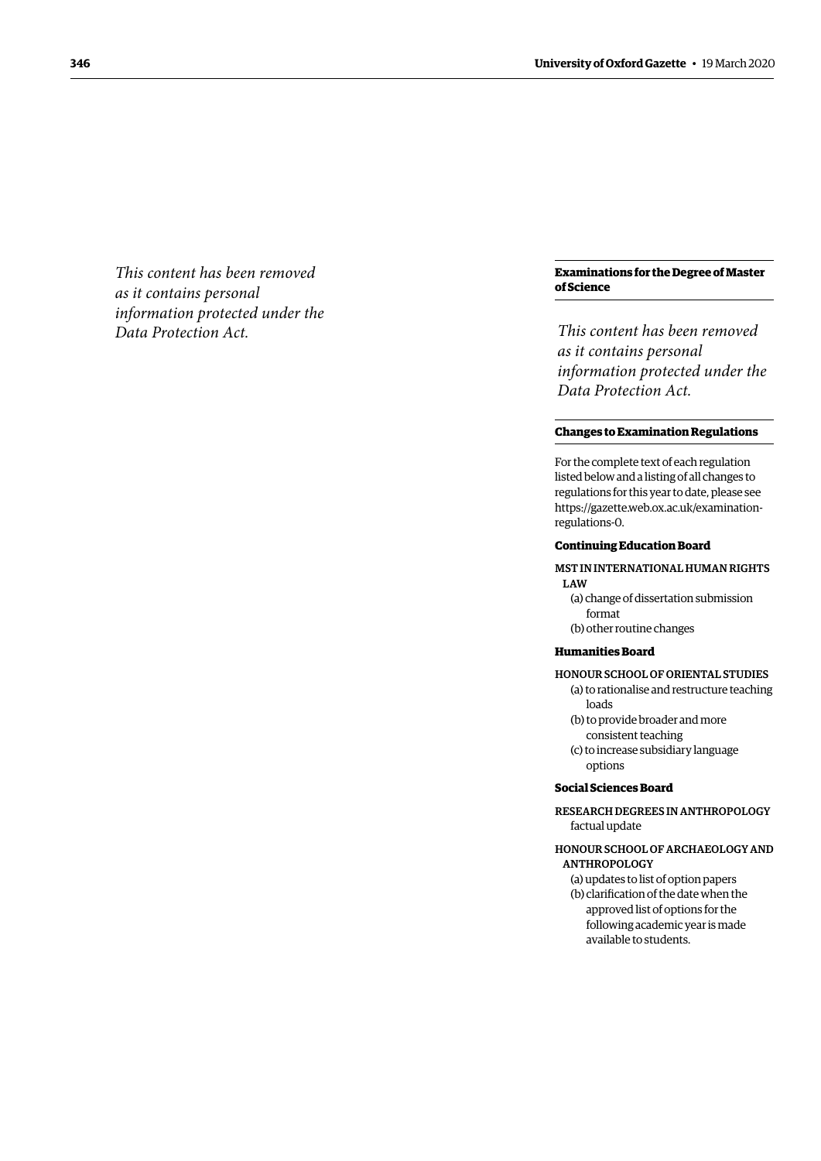*This content has been removed as it contains personal information protected under the Data Protection Act.*

#### **Examinations for the Degree of Master of Science**

*This content has been removed as it contains personal information protected under the Data Protection Act.*

#### <span id="page-3-0"></span>**Changes to Examination Regulations**

For the complete text of each regulation listed below and a listing of all changes to regulations for this year to date, please see [https://gazette.web.ox.ac.uk/examination](https://gazette.web.ox.ac.uk/examination-regulations-0)[regulations-0.](https://gazette.web.ox.ac.uk/examination-regulations-0)

#### **Continuing Education Board**

#### MST IN INTERNATIONAL HUMAN RIGHTS LAW

(a) change of dissertation submission format (b) other routine changes

#### **Humanities Board**

- HONOUR SCHOOL OF ORIENTAL STUDIES (a) to rationalise and restructure teaching loads
	- (b) to provide broader and more consistent teaching
	- (c) to increase subsidiary language options

## **Social Sciences Board**

- RESEARCH DEGREES IN ANTHROPOLOGY factual update
- HONOUR SCHOOL OF ARCHAEOLOGY AND ANTHROPOLOGY
	- (a) updates to list of option papers (b) clarification of the date when the approved list of options for the following academic year is made available to students.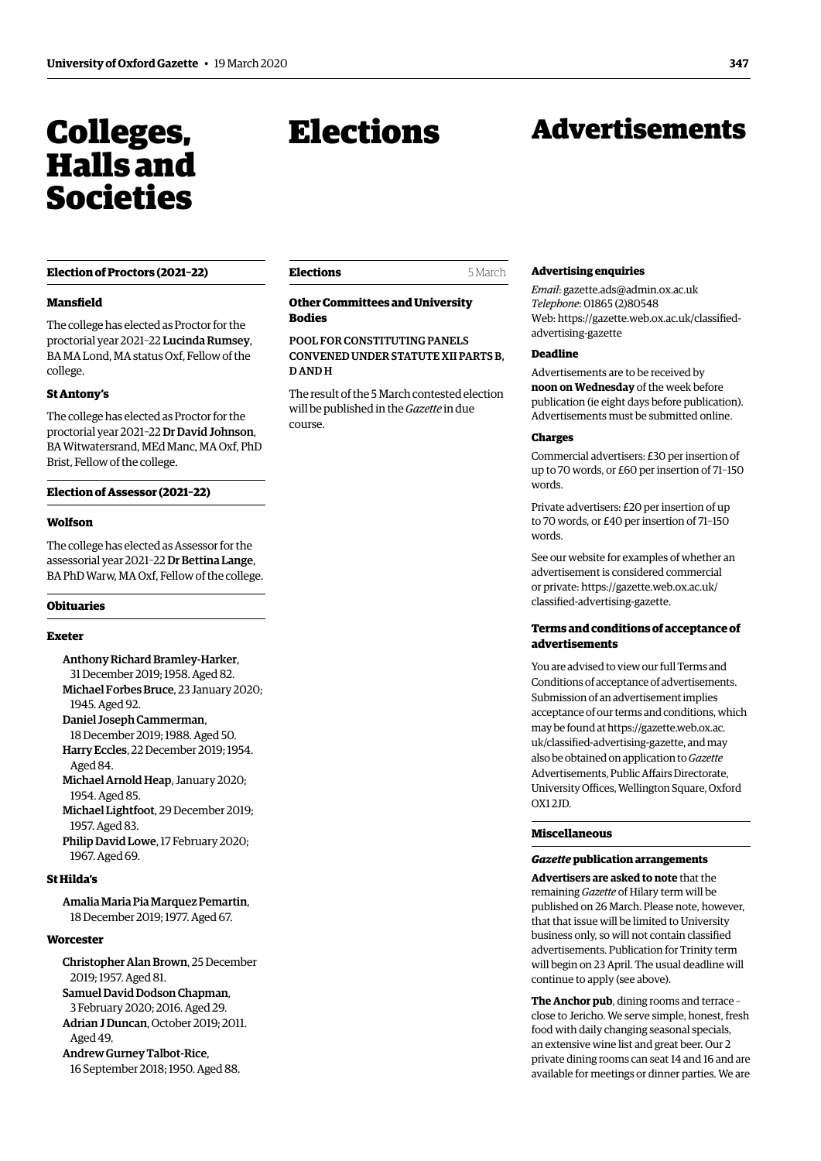# <span id="page-4-0"></span>Colleges, Halls and Societies

#### **Election of Proctors (2021–22)**

#### **Mansfield**

The college has elected as Proctor for the proctorial year 2021–22 Lucinda Rumsey, BA MA Lond, MA status Oxf, Fellow of the college.

#### **St Antony's**

The college has elected as Proctor for the proctorial year 2021–22 Dr David Johnson, BA Witwatersrand, MEd Manc, MA Oxf, PhD Brist, Fellow of the college.

#### **Election of Assessor (2021–22)**

#### **Wolfson**

The college has elected as Assessor for the assessorial year 2021–22 Dr Bettina Lange, BA PhD Warw, MA Oxf, Fellow of the college.

#### **Obituaries**

#### **Exeter**

Anthony Richard Bramley-Harker, 31 December 2019; 1958. Aged 82. Michael Forbes Bruce, 23 January 2020; 1945. Aged 92. Daniel Joseph Cammerman, 18 December 2019; 1988. Aged 50. Harry Eccles, 22 December 2019; 1954. Aged 84. Michael Arnold Heap, January 2020; 1954. Aged 85. Michael Lightfoot, 29 December 2019; 1957. Aged 83.

Philip David Lowe, 17 February 2020; 1967. Aged 69.

#### **St Hilda's**

Amalia Maria Pia Marquez Pemartin, 18 December 2019; 1977. Aged 67.

#### **Worcester**

Christopher Alan Brown, 25 December 2019; 1957. Aged 81. Samuel David Dodson Chapman, 3 February 2020; 2016. Aged 29. Adrian J Duncan, October 2019; 2011.  $A$ ged 49 Andrew Gurney Talbot-Rice, 16 September 2018; 1950. Aged 88.

Elections

# Advertisements

#### **Elections** 5 March

**Other Committees and University Bodies** 

## POOL FOR CONSTITUTING PANELS CONVENED UNDER STATUTE XII PARTS B, D AND H

The result of the 5 March contested election will be published in the *Gazette* in due course.

#### **Advertising enquiries**

*Email*: [gazette.ads@admin.ox.ac.uk](mailto:gazette.ads%40admin.ox.ac.uk?subject=) *Telephone*: 01865 (2)80548 Web: https://[gazette.web.ox.ac.uk/classified](https://gazette.web.ox.ac.uk/classified-advertising-gazette)[advertising-](https://gazette.web.ox.ac.uk/classified-advertising-gazette)gazette

#### **Deadline**

Advertisements are to be received by **noon on Wednesday** of the week before publication (ie eight days before publication). Advertisements must be submitted online.

#### **Charges**

Commercial advertisers: £30 per insertion of up to 70 words, or £60 per insertion of 71–150 words.

Private advertisers: £20 per insertion of up to 70 words, or £40 per insertion of 71–150 words.

See our website for examples of whether an advertisement is considered commercial or private: https://[gazette.web.ox.ac.uk/](https://gazette.web.ox.ac.uk/classified-advertising-gazette) [classified-advertising-](https://gazette.web.ox.ac.uk/classified-advertising-gazette)gazette.

## **Terms and conditions of acceptance of advertisements**

You are advised to view our full Terms and Conditions of acceptance of advertisements. Submission of an advertisement implies acceptance of our terms and conditions, which may be found at [https://gazette.web.ox.ac.](https://gazette.web.ox.ac.uk/classified-advertising-gazette) [uk/classified-advertising-gazette,](https://gazette.web.ox.ac.uk/classified-advertising-gazette) and may also be obtained on application to *Gazette* Advertisements, Public Affairs Directorate, University Offices, Wellington Square, Oxford OX1 2JD*.*

#### **Miscellaneous**

#### *Gazette* **publication arrangements**

**Advertisers are asked to note** that the remaining *Gazette* of Hilary term will be published on 26 March. Please note, however, that that issue will be limited to University business only, so will not contain classified advertisements. Publication for Trinity term will begin on 23 April. The usual deadline will continue to apply (see above).

**The Anchor pub**, dining rooms and terrace – close to Jericho. We serve simple, honest, fresh food with daily changing seasonal specials, an extensive wine list and great beer. Our 2 private dining rooms can seat 14 and 16 and are available for meetings or dinner parties. We are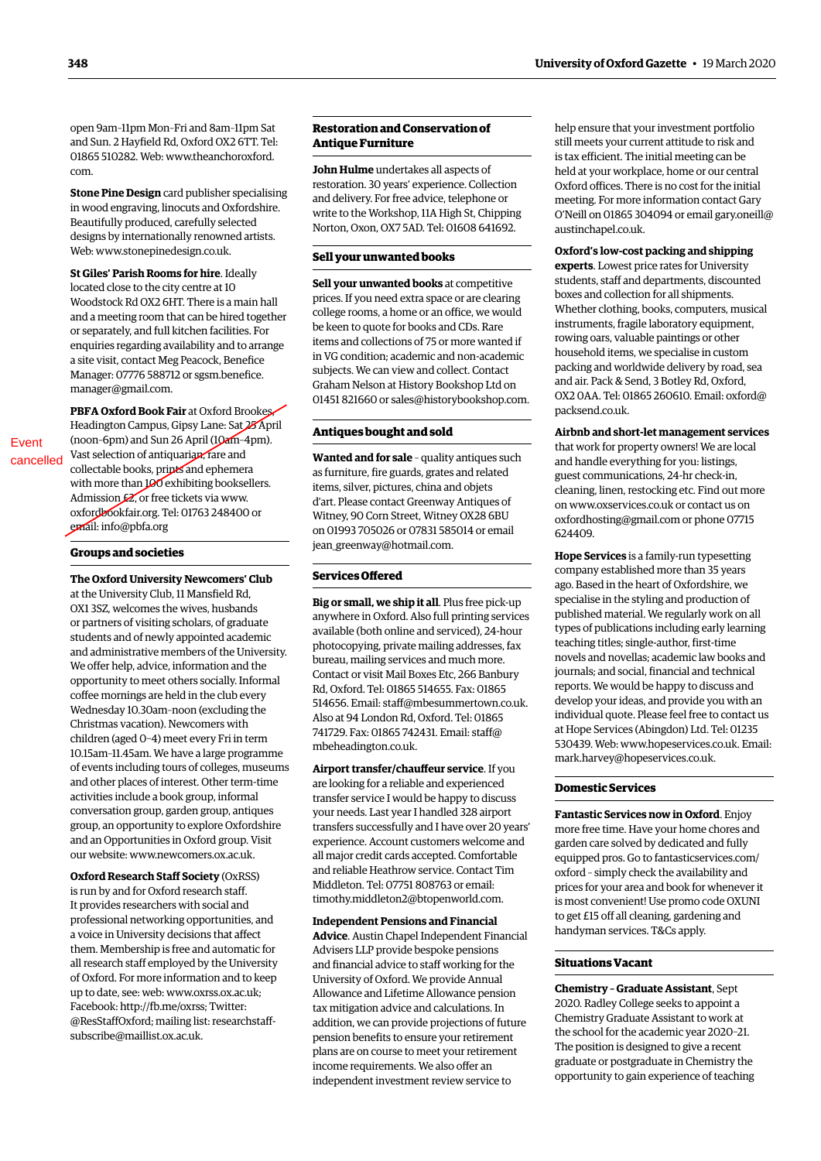open 9am–11pm Mon–Fri and 8am–11pm Sat and Sun. 2 Hayfield Rd, Oxford OX2 6TT. Tel: 01865 510282. Web: [www.theanchoroxford.](http://www.theanchoroxford.com) [com.](http://www.theanchoroxford.com)

**Stone Pine Design** card publisher specialising in wood engraving, linocuts and Oxfordshire. Beautifully produced, carefully selected designs by internationally renowned artists. Web: [www.stonepinedesign.co.uk](http://www.stonepinedesign.co.uk).

**St Giles' Parish Rooms for hire**. Ideally located close to the city centre at 10 Woodstock Rd OX2 6HT. There is a main hall and a meeting room that can be hired together or separately, and full kitchen facilities. For enquiries regarding availability and to arrange a site visit, contact Meg Peacock, Benefice Manager: 07776 588712 or [sgsm.benefice.](mailto:sgsm.benefice.manager@gmail.com) [manager@gmail.com.](mailto:sgsm.benefice.manager@gmail.com)

**PBFA Oxford Book Fair** at Oxford Brookes, Headington Campus, Gipsy Lane: Sat 25 April (noon–6pm) and Sun 26 April (10am–4pm). Vast selection of antiquarian, rare and collectable books, prints and ephemera with more than 100 exhibiting booksellers. Admission  $\cancel{\mathcal{L}}$ , or free tickets via [www.](http://www.oxfordbookfair.org) [oxfordbookfair.org](http://www.oxfordbookfair.org). Tel: 01763 248400 or email: [info@pbfa.org](mailto:info@pbfa.org)

#### **Groups and societies**

Event cancelled

> **The Oxford University Newcomers' Club** at the University Club, 11 Mansfield Rd, OX1 3SZ, welcomes the wives, husbands or partners of visiting scholars, of graduate students and of newly appointed academic and administrative members of the University. We offer help, advice, information and the opportunity to meet others socially. Informal coffee mornings are held in the club every Wednesday 10.30am–noon (excluding the Christmas vacation). Newcomers with children (aged 0–4) meet every Fri in term 10.15am–11.45am. We have a large programme of events including tours of colleges, museums and other places of interest. Other term-time activities include a book group, informal conversation group, garden group, antiques group, an opportunity to explore Oxfordshire and an Opportunities in Oxford group. Visit our website: [www.newcomers.ox.ac.uk](http://www.newcomers.ox.ac.uk).

**Oxford Research Staff Society** (OxRSS) is run by and for Oxford research staff. It provides researchers with social and professional networking opportunities, and a voice in University decisions that affect them. Membership is free and automatic for all research staff employed by the University of Oxford. For more information and to keep up to date, see: web: [www.oxrss.ox.ac.uk;](http://www.oxrss.ox.ac.uk) Facebook: [http://fb.me/oxrss;](http://fb.me/oxrss) Twitter: [@ResStaffOxford;](https://twitter.com/resstaffoxford) mailing list: [researchstaff](http://researchstaff-subscribe@maillist.ox.ac.uk)[subscribe@maillist.ox.ac.uk.](http://researchstaff-subscribe@maillist.ox.ac.uk)

**John Hulme** undertakes all aspects of held at your workplace, home or our central restoration. 30 years' experience. Collection Oxford offices. There is no cost for the initial and delivery. For free advice, telephone or meeting. For more information contact Gary Norton, Oxon, OX7 5AD. Tel: 01608 641692. [austinchapel.co.uk](mailto:gary.oneill@austinchapel.co.uk).

prices. If you need extra space or are clearing college rooms, a home or an office, we would Whether clothing, books, computers, musical be keen to quote for books and CDs. Rare instruments, fragile laboratory equipment,<br>items and collections of 75 or more wanted if rowing oars, valuable paintings or other items and collections of 75 or more wanted if rowing oars, valuable paintings or other<br>in VG condition: academic and non-academic household items, we specialise in custom in VG condition; academic and non-academic lousehold items, we specialise in custom<br>subjects, We can view and collect, Contact louse lough packing and worldwide delivery by road, sea subjects. We can view and collect. Contact packing and worldwide delivery by road,<br>Graham Nelson at History Bookshop Ltd on and air. Pack & Send, 3 Botley Rd, Oxford, Graham Nelson at History Bookshop Ltd on and air. Pack & Send, 3 Botley Rd, Oxford,<br>01451 821660 or sales@historybookshop com 0X2 0AA. Tel: 01865 260610. Email: oxford@ 01451 821660 or [sales@historybookshop.com](mailto:sales@historybookshop.com).

**Wanted and for sale** – quality antiques such and handle everything for you: listings, as furniture, fire guards, grates and related guest communications 24-hr check-in as furniture, fire guards, grates and related guest communications, 24-hr check-in, d'art. Please contact Greenway Antiques of on [www.oxservices.co.uk](http://www.oxservices.co.uk) or contact us on<br>Witney, 90 Corn Street, Witney OX28 6BU oxfordhosting@gmail.com or phone 07715 on 01993 705026 or 07831 585014 or email 624409. [jean\\_greenway@hotmail.com](mailto:jean_greenway@hotmail.com).

anywhere in Oxford. Also full printing services published material. We regularly work on all available (both online and serviced), 24-hour types of publications including early learning intervals of publications including early learning intervals of publications including early learning intervals in the original e photocopying, private mailing addresses, fax teaching titles; single-author, first-time<br>hureau mailing services and much more novels and novellas; academic law books and bureau, mailing services and much more. novels and novellas; academic law books and novellas; academic law books and much more.<br>Contact or visit Mail Boyes Ftc. 266 Banbury [ournals; and social, financial and technical Contact or visit Mail Boxes Etc, 266 Banbury journals; and social, financial and technical Rd, Oxford. Tel: 01865 514655. Fax: 01865 reports. We would be happy to discuss and<br>514656. Email: staff@mbesummertown couk develop your ideas, and provide you with an 514656. Email: [staff@mbesummertown.co.uk](mailto:staff@mbesummertown.co.uk). Also at 94 London Rd, Oxford. Tel: 01865 individual quote. Please feel free to contact us<br>741729 Fax: 01865 742431 Email: staff@ in the Hope Services (Abingdon) Ltd. Tel: 01235 741729. Fax: 01865 742431. Email: [staff@](mailto:staff@mbeheadington.co.uk) [mbeheadington.co.uk](mailto:staff@mbeheadington.co.uk). 530439. Web: [www.hopeservices.co.uk.](http://www.hopeservices.co.uk) Email:

**Airport transfer/chauffeur service**. If you are looking for a reliable and experienced **Domestic Services**  transfer service I would be happy to discuss your needs. Last year I handled 328 airport **Fantastic Services now in Oxford**. Enjoy transfers successfully and I have over 20 years' more free time. Have your home chores and experience. Account customers welcome and garden care solved by dedicated and fully<br>all major credit cards accepted. Comfortable equipped pros. Go to fantasticservices cor and reliable Heathrow service. Contact Tim [oxford](http://fantasticservices.com/oxford) - simply check the availability and Middleton. Tel: 07751 808763 or email: prices for your area and book for whenever it

to get £15 off all cleaning, gardening and **Independent Pensions and Financial** handyman services. T&Cs apply. **Advice**. Austin Chapel Independent Financial Advisers LLP provide bespoke pensions and financial advice to staff working for the **Situations Vacant** University of Oxford. We provide Annual<br>
Allowance and Lifetime Allowance pension<br>
tax mitigation advice and calculations. In<br>
addition, we can provide projections of future<br>
pension benefits to ensure your retirement<br>
pla

**Restoration and Conservation of <b>help** ensure that your investment portfolio **Antique Furniture** still meets your current attitude to risk and is tax efficient. The initial meeting can be write to the Workshop, 11A High St, Chipping O'Neill on 01865 304094 or email [gary.oneill@](mailto:gary.oneill@austinchapel.co.uk)

# **Oxford's low-cost packing and shipping Sell your unwanted books experts**. Lowest price rates for University

**Sell your unwanted books** at competitive students, staff and departments, discounted prices If you need extra space or are clearing boxes and collection for all shipments. [packsend.co.uk.](mailto:oxford@packsend.co.uk)

**Antiques bought and sold Airbnb and short-let management services** that work for property owners! We are local items, silver, pictures, china and objets cleaning, linen, restocking etc. Find out more<br>d'art. Please contact Greenway Antiques of component context us on [oxfordhosting@gmail.com](mailto:oxfordhosting@gmail.com) or phone 07715

**Hope Services** is a family-run typesetting company established more than 35 years **Services Offered**  ago. Based in the heart of Oxfordshire, we **Big or small, we ship it all**. Plus free pick-up specialise in the styling and production of anywhere in Oxford, Also full printing services published material. We regularly work on all [mark.harvey@hopeservices.co.uk.](mailto:mark.harvey@hopeservices.co.uk)

equipped pros. Go to [fantasticservices.com/](http://fantasticservices.com/oxford) [timothy.middleton2@btopenworld.com.](mailto:timothy.middleton2@btopenworld.com) is most convenient! Use promo code OXUNI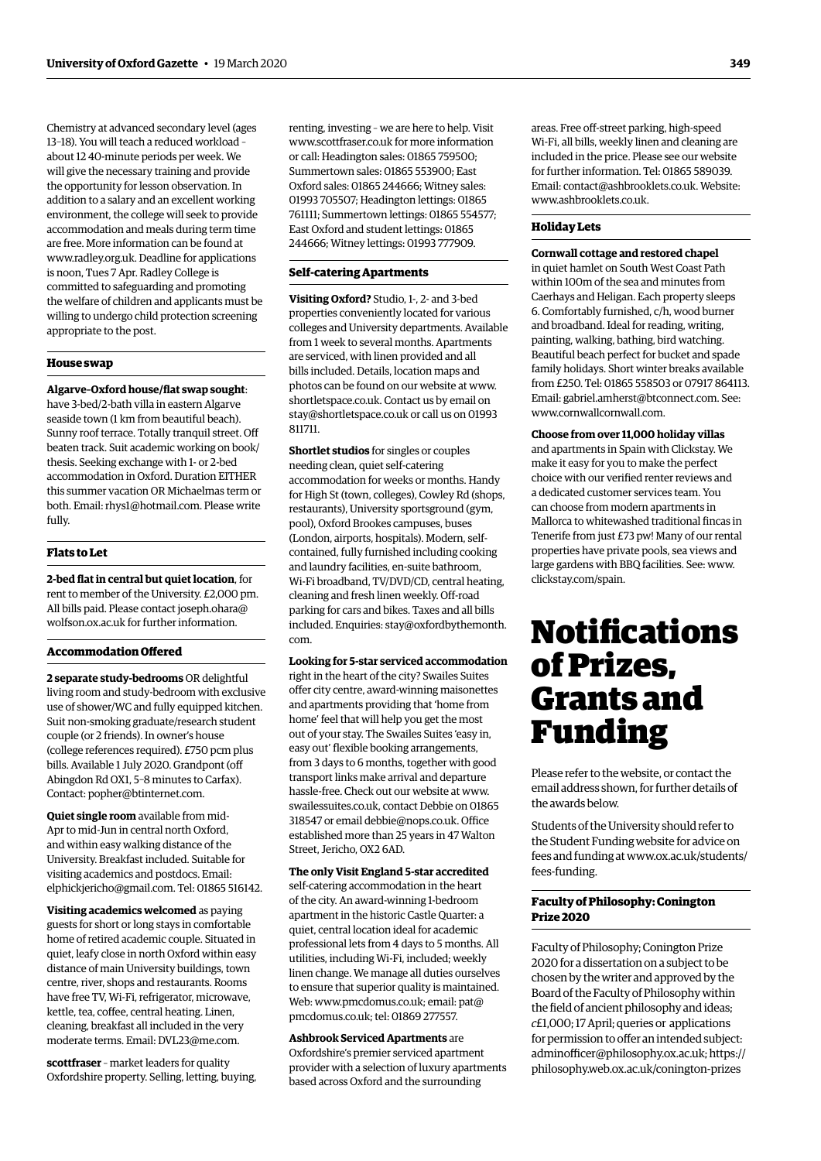13–18). You will teach a reduced workload – [www.scottfraser.co.uk](http://www.scottfraser.co.uk) for more information about 1240-minute periods per week. We or call: Headington sales: 01865 759500; will give the necessary training and provide Summertown sales: 01865 553900: East the opportunity for lesson observation. In Oxford sales: 01865 244666; Witney sales: addition to a salary and an excellent working 01993 705507; Headington lettings: 01865 environment, the college will seek to provide 761111; Summertown lettings: 01865 554577; accommodation and meals during term time East Oxford and student lettings: 01865 are free. More information can be found at 244666; Witney lettings: 01993 777909. [www.radley.org.uk.](http://www.radley.org.uk) Deadline for applications is noon, Tues 7 Apr. Radley College is **Self-catering Apartments** committed to safeguarding and promoting the welfare of children and applicants must be **Visiting Oxford?** Studio, 1-, 2- and 3-bed willing to undergo child protection screening

**Algarve-Oxford house/flat swap sought:**  $% \frac{1}{2}$  photos can be found on our website at [www.](http://www.shortletspace.co.uk)<br>have 3-bed/2-bath villa in eastern Algarve [shortletspace.co.uk](http://www.shortletspace.co.uk). Contact us by email on<br>seaside town (1 km from beautiful beach Sunny roof terrace. Totally tranquil street. Off beaten track. Suit academic working on book/ **Shortlet studios** for singles or couples thesis. Seeking exchange with 1- or 2-bed needing clean, quiet self-catering<br>accommodation in Oxford. Duration EITHER accommodation in Oxford. Duration EITHER accommodation for weeks or months. Handy<br>this summer vacation OR Michaelmas term or for High St (town colleges) Cowley Rd (shops both. Email: [rhys1@hotmail.com.](mailto:rhys1@hotmail.com) Please write restaurants), University sportsground (gym,<br>fully, resolution resolution resolution resolutions in the resolution resolution resolutions in the resolution

rent to member of the University. £2,000 pm. cleaning and fresh linen weekly. Off-road<br>All bills paid. Please contact joseph.ohara@ parking for cars and bikes. Taxes and all b All bills paid. Please contact [joseph.ohara@](mailto:joseph.ohara@wolfson.ox.ac.uk) parking for cars and bikes. Taxes and all bills<br>wolfson.ox.ac.uk for further information. produced Enquiries: stay@oxfordbythemon

#### **Accommodation Offered**

living room and study-bedroom with exclusive offer city centre, award-winning maisonettes use of shower/WC and fully equipped kitchen. Suit non-smoking graduate/research student home' feel that will help you get the most couple (or 2 friends). In owner's house out of your stay. The Swailes Suites 'easy in, (college references required). £750 pcm plus easy out' flexible booking arrangements, bills. Available 1 July 2020. Grandpont (off from 3 days to 6 months, together with good Abingdon Rd OX1, 5–8 minutes to Carfax). transport links make arrival and departure Contact: [popher@btinternet.com.](mailto:popher@btinternet.com) hassle-free. Check out our website at [www.](http://www.swailessuites.co.uk)

**Quiet single room** available from mid-<br>Apr to mid-Jun in central north Oxford,<br>and within easy walking distance of the stablished more than 25 years in 47 Walton<br>Street, Jericho, OX2 6AD. University. Breakfast included. Suitable for visiting academics and postdocs. Email: **The only Visit England 5-star accredited** [elphickjericho@gmail.com.](mailto:elphickjericho@gmail.com) Tel: 01865 516142. self-catering accommodation in the heart

<span id="page-6-0"></span>Chemistry at advanced secondary level (ages renting, investing – we are here to help. Visit

appropriate to the post. Colleges and University departments. Available from 1 week to several months. Apartments **are serviced, with linen provided and all <b>House swap** bills included. Details, location maps and bills included. Details, location maps and

for High St (town, colleges), Cowley Rd (shops, fully. pool), Oxford Brookes campuses, buses (London, airports, hospitals). Modern, self-**Flats to Let contained**, fully furnished including cooking and laundry facilities, en-suite bathroom, **2-bed flat in central but quiet location**, for Wi-Fi broadband, TV/DVD/CD, central heating, included. Enquiries: [stay@oxfordbythemonth.](mailto:stay@oxfordbythemonth.com) [com.](mailto:stay@oxfordbythemonth.com)

#### **Looking for 5-star serviced accommodation**

**2 separate study-bedrooms** OR delightful right in the heart of the city? Swailes Suites [swailessuites.co.uk](http://www.swailessuites.co.uk), contact Debbie on 01865

**Visiting academics welcomed** as paying<br>guests for short or long stays in comfortable<br>home of retired academic couple. Situated in<br>duest, central location ideal for academic<br>duest, leafy close in north Oxford within easy<br>d

moderate terms. Email: [DVL23@me.com](mailto:DVL23@me.com). **Ashbrook Serviced Apartments** are **scottfraser** – market leaders for quality<br>  $\frac{1}{2}$  oxfordshire property. Selling, letting, buying, based across Oxford and the surrounding areas. Free off-street parking, high-speed Wi-Fi, all bills, weekly linen and cleaning are included in the price. Please see our website for further information. Tel: 01865 589039. Email: [contact@ashbrooklets.co.uk.](mailto:contact@ashbrooklets.co.uk) Website: [www.ashbrooklets.co.uk](http://www.ashbrooklets.co.uk).

## **Holiday Lets**

#### **Cornwall cottage and restored chapel**

in quiet hamlet on South West Coast Path within 100m of the sea and minutes from Caerhays and Heligan. Each property sleeps 6. Comfortably furnished, c/h, wood burner and broadband. Ideal for reading, writing, painting, walking, bathing, bird watching. Beautiful beach perfect for bucket and spade family holidays. Short winter breaks available from £250. Tel: 01865 558503 or 07917 864113. Email: [gabriel.amherst@btconnect.com](mailto:gabriel.amherst@btconnect.com). See: [www.cornwallcornwall.com.](http://www.cornwallcornwall.com)

**Choose from over 11,000 holiday villas**  and apartments in Spain with Clickstay. We make it easy for you to make the perfect choice with our verified renter reviews and a dedicated customer services team. You can choose from modern apartments in Mallorca to whitewashed traditional fincas in Tenerife from just £73 pw! Many of our rental properties have private pools, sea views and large gardens with BBQ facilities. See: [www.](http://www.clickstay.com/spain) [clickstay.com/spain.](http://www.clickstay.com/spain)

# Notifications of Prizes, Grants and Funding

Please refer to the website, or contact the email address shown, for further details of the awards below.

Students of the University should refer to the Student Funding website for advice on fees and funding at [www.ox.ac.uk/students/](http://www.ox.ac.uk/students/fees-funding) [fees-funding.](http://www.ox.ac.uk/students/fees-funding)

## **Faculty of Philosophy: Conington Prize 2020**

Faculty of Philosophy; Conington Prize 2020 for a dissertation on a subject to be chosen by the writer and approved by the Board of the Faculty of Philosophy within the field of ancient philosophy and ideas; *c*£1,000; 17 April; queries or applications for permission to offer an intended subject: [adminofficer@philosophy.ox.ac.uk](mailto:adminofficer@philosophy.ox.ac.uk); [https://](https://philosophy.web.ox.ac.uk/conington-prizes) [philosophy.web.ox.ac.uk/conington-prizes](https://philosophy.web.ox.ac.uk/conington-prizes)